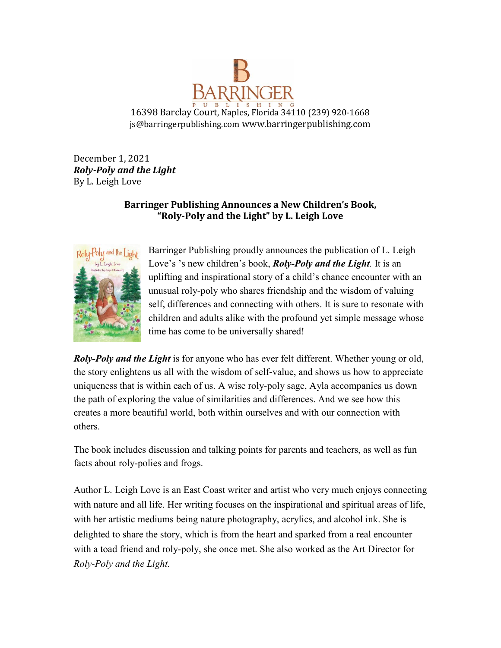

16398 Barclay Court, Naples, Florida 34110 (239) 920-1668 js@barringerpublishing.com www.barringerpublishing.com

December 1, 2021 *Roly-Poly and the Light* By L. Leigh Love

## **Barringer Publishing Announces a New Children's Book, "Roly-Poly and the Light" by L. Leigh Love**



Barringer Publishing proudly announces the publication of L. Leigh Love's 's new children's book, *Roly-Poly and the Light.* It is an uplifting and inspirational story of a child's chance encounter with an unusual roly-poly who shares friendship and the wisdom of valuing self, differences and connecting with others. It is sure to resonate with children and adults alike with the profound yet simple message whose time has come to be universally shared!

*Roly-Poly and the Light* is for anyone who has ever felt different. Whether young or old, the story enlightens us all with the wisdom of self-value, and shows us how to appreciate uniqueness that is within each of us. A wise roly-poly sage, Ayla accompanies us down the path of exploring the value of similarities and differences. And we see how this creates a more beautiful world, both within ourselves and with our connection with others.

The book includes discussion and talking points for parents and teachers, as well as fun facts about roly-polies and frogs.

Author L. Leigh Love is an East Coast writer and artist who very much enjoys connecting with nature and all life. Her writing focuses on the inspirational and spiritual areas of life, with her artistic mediums being nature photography, acrylics, and alcohol ink. She is delighted to share the story, which is from the heart and sparked from a real encounter with a toad friend and roly-poly, she once met. She also worked as the Art Director for *Roly-Poly and the Light.*